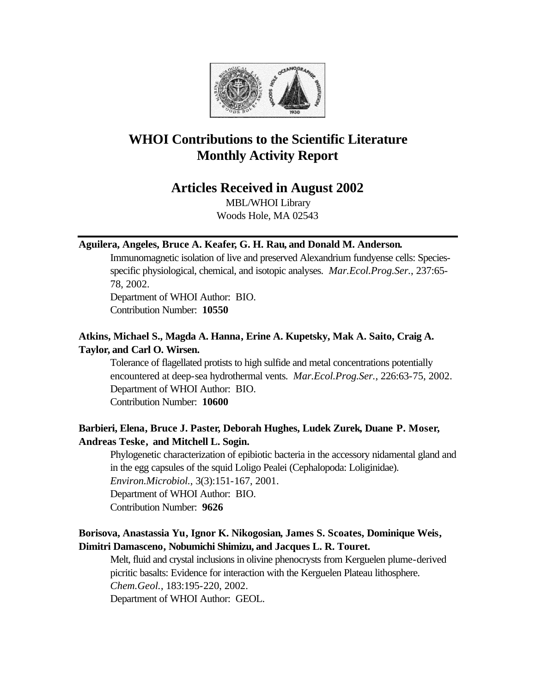

# **WHOI Contributions to the Scientific Literature Monthly Activity Report**

# **Articles Received in August 2002**

MBL/WHOI Library Woods Hole, MA 02543

### **Aguilera, Angeles, Bruce A. Keafer, G. H. Rau, and Donald M. Anderson.**

Immunomagnetic isolation of live and preserved Alexandrium fundyense cells: Speciesspecific physiological, chemical, and isotopic analyses. *Mar.Ecol.Prog.Ser.*, 237:65- 78, 2002.

Department of WHOI Author: BIO. Contribution Number: **10550**

### **Atkins, Michael S., Magda A. Hanna, Erine A. Kupetsky, Mak A. Saito, Craig A. Taylor, and Carl O. Wirsen.**

Tolerance of flagellated protists to high sulfide and metal concentrations potentially encountered at deep-sea hydrothermal vents. *Mar.Ecol.Prog.Ser.*, 226:63-75, 2002. Department of WHOI Author: BIO. Contribution Number: **10600**

# **Barbieri, Elena, Bruce J. Paster, Deborah Hughes, Ludek Zurek, Duane P. Moser, Andreas Teske, and Mitchell L. Sogin.**

Phylogenetic characterization of epibiotic bacteria in the accessory nidamental gland and in the egg capsules of the squid Loligo Pealei (Cephalopoda: Loliginidae). *Environ.Microbiol.*, 3(3):151-167, 2001. Department of WHOI Author: BIO.

Contribution Number: **9626**

### **Borisova, Anastassia Yu, Ignor K. Nikogosian, James S. Scoates, Dominique Weis, Dimitri Damasceno, Nobumichi Shimizu, and Jacques L. R. Touret.**

Melt, fluid and crystal inclusions in olivine phenocrysts from Kerguelen plume-derived picritic basalts: Evidence for interaction with the Kerguelen Plateau lithosphere. *Chem.Geol.*, 183:195-220, 2002.

Department of WHOI Author: GEOL.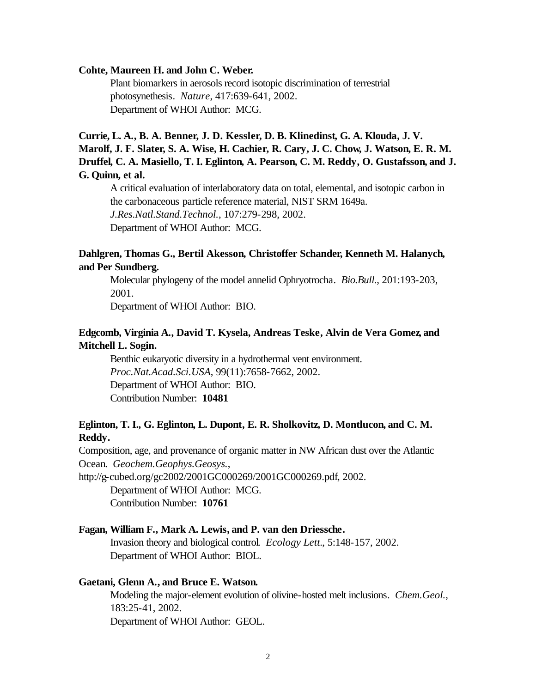#### **Cohte, Maureen H. and John C. Weber.**

Plant biomarkers in aerosols record isotopic discrimination of terrestrial photosynethesis. *Nature*, 417:639-641, 2002. Department of WHOI Author: MCG.

# **Currie, L. A., B. A. Benner, J. D. Kessler, D. B. Klinedinst, G. A. Klouda, J. V. Marolf, J. F. Slater, S. A. Wise, H. Cachier, R. Cary, J. C. Chow, J. Watson, E. R. M. Druffel, C. A. Masiello, T. I. Eglinton, A. Pearson, C. M. Reddy, O. Gustafsson, and J. G. Quinn, et al.**

A critical evaluation of interlaboratory data on total, elemental, and isotopic carbon in the carbonaceous particle reference material, NIST SRM 1649a. *J.Res.Natl.Stand.Technol.*, 107:279-298, 2002. Department of WHOI Author: MCG.

### **Dahlgren, Thomas G., Bertil Akesson, Christoffer Schander, Kenneth M. Halanych, and Per Sundberg.**

Molecular phylogeny of the model annelid Ophryotrocha. *Bio.Bull.*, 201:193-203, 2001.

Department of WHOI Author: BIO.

### **Edgcomb, Virginia A., David T. Kysela, Andreas Teske, Alvin de Vera Gomez, and Mitchell L. Sogin.**

Benthic eukaryotic diversity in a hydrothermal vent environment. *Proc.Nat.Acad.Sci.USA*, 99(11):7658-7662, 2002. Department of WHOI Author: BIO. Contribution Number: **10481**

### **Eglinton, T. I., G. Eglinton, L. Dupont, E. R. Sholkovitz, D. Montlucon, and C. M. Reddy.**

Composition, age, and provenance of organic matter in NW African dust over the Atlantic Ocean. *Geochem.Geophys.Geosys.*,

http://g-cubed.org/gc2002/2001GC000269/2001GC000269.pdf, 2002.

Department of WHOI Author: MCG. Contribution Number: **10761**

### **Fagan, William F., Mark A. Lewis, and P. van den Driessche.**

Invasion theory and biological control. *Ecology Lett.*, 5:148-157, 2002. Department of WHOI Author: BIOL.

#### **Gaetani, Glenn A., and Bruce E. Watson.**

Modeling the major-element evolution of olivine-hosted melt inclusions. *Chem.Geol.*, 183:25-41, 2002. Department of WHOI Author: GEOL.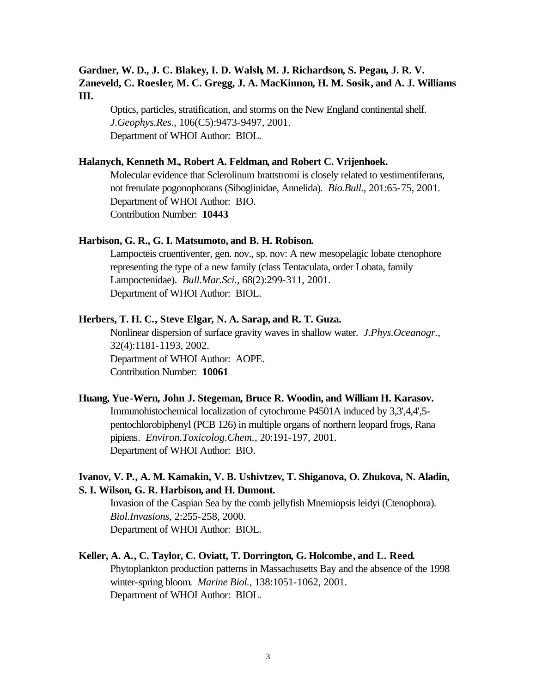### **Gardner, W. D., J. C. Blakey, I. D. Walsh, M. J. Richardson, S. Pegau, J. R. V. Zaneveld, C. Roesler, M. C. Gregg, J. A. MacKinnon, H. M. Sosik, and A. J. Williams III.**

Optics, particles, stratification, and storms on the New England continental shelf. *J.Geophys.Res.*, 106(C5):9473-9497, 2001. Department of WHOI Author: BIOL.

#### **Halanych, Kenneth M., Robert A. Feldman, and Robert C. Vrijenhoek.**

Molecular evidence that Sclerolinum brattstromi is closely related to vestimentiferans, not frenulate pogonophorans (Siboglinidae, Annelida). *Bio.Bull.*, 201:65-75, 2001. Department of WHOI Author: BIO. Contribution Number: **10443**

#### **Harbison, G. R., G. I. Matsumoto, and B. H. Robison.**

Lampocteis cruentiventer, gen. nov., sp. nov: A new mesopelagic lobate ctenophore representing the type of a new family (class Tentaculata, order Lobata, family Lampoctenidae). *Bull.Mar.Sci.*, 68(2):299-311, 2001. Department of WHOI Author: BIOL.

#### **Herbers, T. H. C., Steve Elgar, N. A. Sarap, and R. T. Guza.**

Nonlinear dispersion of surface gravity waves in shallow water. *J.Phys.Oceanogr.*, 32(4):1181-1193, 2002. Department of WHOI Author: AOPE. Contribution Number: **10061**

#### **Huang, Yue-Wern, John J. Stegeman, Bruce R. Woodin, and William H. Karasov.**

Immunohistochemical localization of cytochrome P4501A induced by 3,3',4,4',5 pentochlorobiphenyl (PCB 126) in multiple organs of northern leopard frogs, Rana pipiens. *Environ.Toxicolog.Chem.*, 20:191-197, 2001. Department of WHOI Author: BIO.

### **Ivanov, V. P., A. M. Kamakin, V. B. Ushivtzev, T. Shiganova, O. Zhukova, N. Aladin, S. I. Wilson, G. R. Harbison, and H. Dumont.**

Invasion of the Caspian Sea by the comb jellyfish Mnemiopsis leidyi (Ctenophora). *Biol.Invasions*, 2:255-258, 2000. Department of WHOI Author: BIOL.

### **Keller, A. A., C. Taylor, C. Oviatt, T. Dorrington, G. Holcombe, and L. Reed.** Phytoplankton production patterns in Massachusetts Bay and the absence of the 1998

winter-spring bloom. *Marine Biol.*, 138:1051-1062, 2001. Department of WHOI Author: BIOL.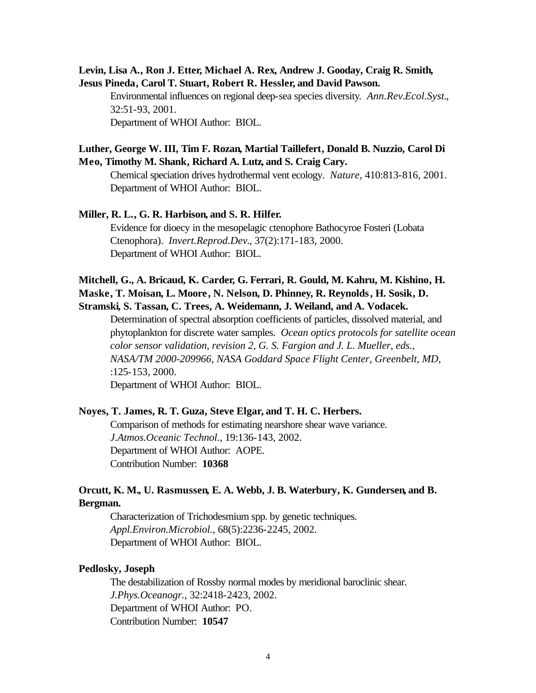### **Levin, Lisa A., Ron J. Etter, Michael A. Rex, Andrew J. Gooday, Craig R. Smith, Jesus Pineda, Carol T. Stuart, Robert R. Hessler, and David Pawson.**

Environmental influences on regional deep-sea species diversity. *Ann.Rev.Ecol.Syst.*, 32:51-93, 2001. Department of WHOI Author: BIOL.

### **Luther, George W. III, Tim F. Rozan, Martial Taillefert, Donald B. Nuzzio, Carol Di Meo, Timothy M. Shank, Richard A. Lutz, and S. Craig Cary.**

Chemical speciation drives hydrothermal vent ecology. *Nature*, 410:813-816, 2001. Department of WHOI Author: BIOL.

# **Miller, R. L., G. R. Harbison, and S. R. Hilfer.**

Evidence for dioecy in the mesopelagic ctenophore Bathocyroe Fosteri (Lobata Ctenophora). *Invert.Reprod.Dev.*, 37(2):171-183, 2000. Department of WHOI Author: BIOL.

### **Mitchell, G., A. Bricaud, K. Carder, G. Ferrari, R. Gould, M. Kahru, M. Kishino, H. Maske, T. Moisan, L. Moore, N. Nelson, D. Phinney, R. Reynolds, H. Sosik, D. Stramski, S. Tassan, C. Trees, A. Weidemann, J. Weiland, and A. Vodacek.**

Determination of spectral absorption coefficients of particles, dissolved material, and phytoplankton for discrete water samples. *Ocean optics protocols for satellite ocean color sensor validation, revision 2, G. S. Fargion and J. L. Mueller, eds., NASA/TM 2000-209966, NASA Goddard Space Flight Center, Greenbelt, MD*, :125-153, 2000.

Department of WHOI Author: BIOL.

#### **Noyes, T. James, R. T. Guza, Steve Elgar, and T. H. C. Herbers.**

Comparison of methods for estimating nearshore shear wave variance. *J.Atmos.Oceanic Technol.*, 19:136-143, 2002. Department of WHOI Author: AOPE. Contribution Number: **10368**

### **Orcutt, K. M., U. Rasmussen, E. A. Webb, J. B. Waterbury, K. Gundersen, and B. Bergman.**

Characterization of Trichodesmium spp. by genetic techniques. *Appl.Environ.Microbiol.*, 68(5):2236-2245, 2002. Department of WHOI Author: BIOL.

#### **Pedlosky, Joseph**

The destabilization of Rossby normal modes by meridional baroclinic shear. *J.Phys.Oceanogr.*, 32:2418-2423, 2002. Department of WHOI Author: PO. Contribution Number: **10547**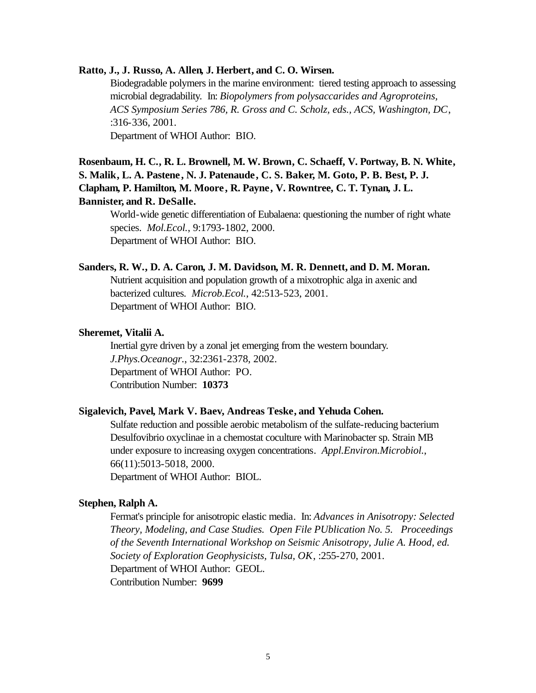### **Ratto, J., J. Russo, A. Allen, J. Herbert, and C. O. Wirsen.**

Biodegradable polymers in the marine environment: tiered testing approach to assessing microbial degradability. In: *Biopolymers from polysaccarides and Agroproteins, ACS Symposium Series 786, R. Gross and C. Scholz, eds., ACS, Washington, DC*, :316-336, 2001. Department of WHOI Author: BIO.

# **Rosenbaum, H. C., R. L. Brownell, M. W. Brown, C. Schaeff, V. Portway, B. N. White, S. Malik, L. A. Pastene, N. J. Patenaude, C. S. Baker, M. Goto, P. B. Best, P. J. Clapham, P. Hamilton, M. Moore , R. Payne, V. Rowntree, C. T. Tynan, J. L. Bannister, and R. DeSalle.**

World-wide genetic differentiation of Eubalaena: questioning the number of right whate species. *Mol.Ecol.*, 9:1793-1802, 2000. Department of WHOI Author: BIO.

#### **Sanders, R. W., D. A. Caron, J. M. Davidson, M. R. Dennett, and D. M. Moran.**

Nutrient acquisition and population growth of a mixotrophic alga in axenic and bacterized cultures. *Microb.Ecol.*, 42:513-523, 2001. Department of WHOI Author: BIO.

#### **Sheremet, Vitalii A.**

Inertial gyre driven by a zonal jet emerging from the western boundary. *J.Phys.Oceanogr.*, 32:2361-2378, 2002. Department of WHOI Author: PO. Contribution Number: **10373**

### **Sigalevich, Pavel, Mark V. Baev, Andreas Teske, and Yehuda Cohen.**

Sulfate reduction and possible aerobic metabolism of the sulfate-reducing bacterium Desulfovibrio oxyclinae in a chemostat coculture with Marinobacter sp. Strain MB under exposure to increasing oxygen concentrations. *Appl.Environ.Microbiol.*, 66(11):5013-5018, 2000. Department of WHOI Author: BIOL.

#### **Stephen, Ralph A.**

Fermat's principle for anisotropic elastic media. In: *Advances in Anisotropy: Selected Theory, Modeling, and Case Studies. Open File PUblication No. 5. Proceedings of the Seventh International Workshop on Seismic Anisotropy, Julie A. Hood, ed. Society of Exploration Geophysicists, Tulsa, OK*, :255-270, 2001. Department of WHOI Author: GEOL. Contribution Number: **9699**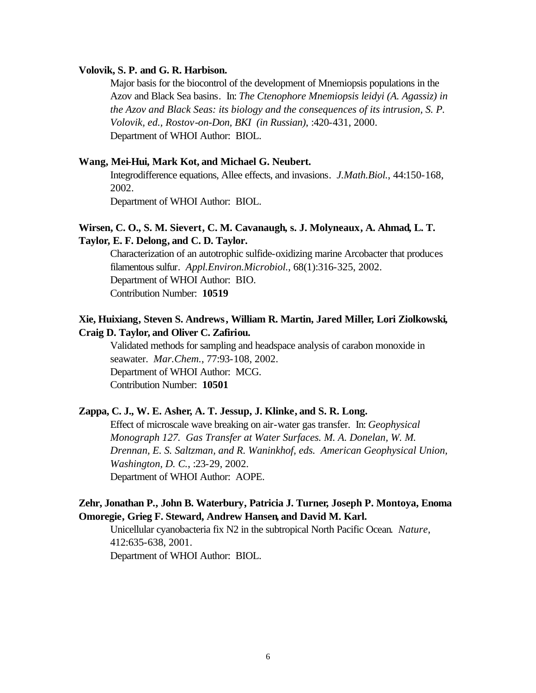#### **Volovik, S. P. and G. R. Harbison.**

Major basis for the biocontrol of the development of Mnemiopsis populations in the Azov and Black Sea basins. In: *The Ctenophore Mnemiopsis leidyi (A. Agassiz) in the Azov and Black Seas: its biology and the consequences of its intrusion, S. P. Volovik, ed., Rostov-on-Don, BKI (in Russian)*, :420-431, 2000. Department of WHOI Author: BIOL.

#### **Wang, Mei-Hui, Mark Kot, and Michael G. Neubert.**

Integrodifference equations, Allee effects, and invasions. *J.Math.Biol.*, 44:150-168, 2002.

Department of WHOI Author: BIOL.

### **Wirsen, C. O., S. M. Sievert, C. M. Cavanaugh, s. J. Molyneaux, A. Ahmad, L. T. Taylor, E. F. Delong, and C. D. Taylor.**

Characterization of an autotrophic sulfide-oxidizing marine Arcobacter that produces filamentous sulfur. *Appl.Environ.Microbiol.*, 68(1):316-325, 2002. Department of WHOI Author: BIO. Contribution Number: **10519**

### **Xie, Huixiang, Steven S. Andrews, William R. Martin, Jared Miller, Lori Ziolkowski, Craig D. Taylor, and Oliver C. Zafiriou.**

Validated methods for sampling and headspace analysis of carabon monoxide in seawater. *Mar.Chem.*, 77:93-108, 2002. Department of WHOI Author: MCG. Contribution Number: **10501**

### **Zappa, C. J., W. E. Asher, A. T. Jessup, J. Klinke, and S. R. Long.**

Effect of microscale wave breaking on air-water gas transfer. In: *Geophysical Monograph 127. Gas Transfer at Water Surfaces. M. A. Donelan, W. M. Drennan, E. S. Saltzman, and R. Waninkhof, eds. American Geophysical Union, Washington, D. C.*, :23-29, 2002. Department of WHOI Author: AOPE.

### **Zehr, Jonathan P., John B. Waterbury, Patricia J. Turner, Joseph P. Montoya, Enoma Omoregie, Grieg F. Steward, Andrew Hansen, and David M. Karl.**

Unicellular cyanobacteria fix N2 in the subtropical North Pacific Ocean. *Nature*, 412:635-638, 2001.

Department of WHOI Author: BIOL.